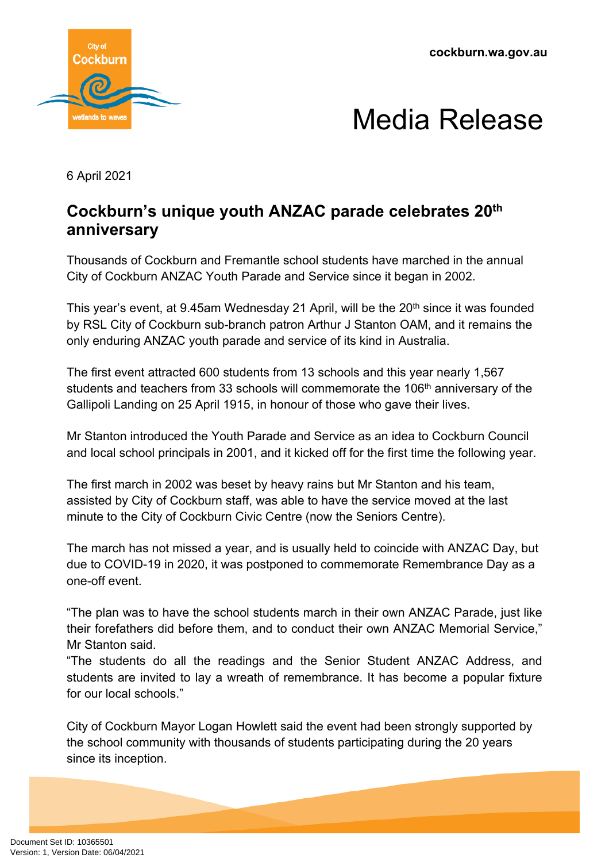**cockburn.wa.gov.au**





6 April 2021

## **Cockburn's unique youth ANZAC parade celebrates 20th anniversary**

Thousands of Cockburn and Fremantle school students have marched in the annual City of Cockburn ANZAC Youth Parade and Service since it began in 2002.

This year's event, at 9.45am Wednesday 21 April, will be the 20<sup>th</sup> since it was founded by RSL City of Cockburn sub-branch patron Arthur J Stanton OAM, and it remains the only enduring ANZAC youth parade and service of its kind in Australia.

The first event attracted 600 students from 13 schools and this year nearly 1,567 students and teachers from 33 schools will commemorate the 106<sup>th</sup> anniversary of the Gallipoli Landing on 25 April 1915, in honour of those who gave their lives.

Mr Stanton introduced the Youth Parade and Service as an idea to Cockburn Council and local school principals in 2001, and it kicked off for the first time the following year.

The first march in 2002 was beset by heavy rains but Mr Stanton and his team, assisted by City of Cockburn staff, was able to have the service moved at the last minute to the City of Cockburn Civic Centre (now the Seniors Centre).

The march has not missed a year, and is usually held to coincide with ANZAC Day, but due to COVID-19 in 2020, it was postponed to commemorate Remembrance Day as a one-off event.

"The plan was to have the school students march in their own ANZAC Parade, just like their forefathers did before them, and to conduct their own ANZAC Memorial Service," Mr Stanton said.

"The students do all the readings and the Senior Student ANZAC Address, and students are invited to lay a wreath of remembrance. It has become a popular fixture for our local schools."

City of Cockburn Mayor Logan Howlett said the event had been strongly supported by the school community with thousands of students participating during the 20 years since its inception.

Document Set ID: 10365501<br>Version: 1, Version Date: 06/04/2021